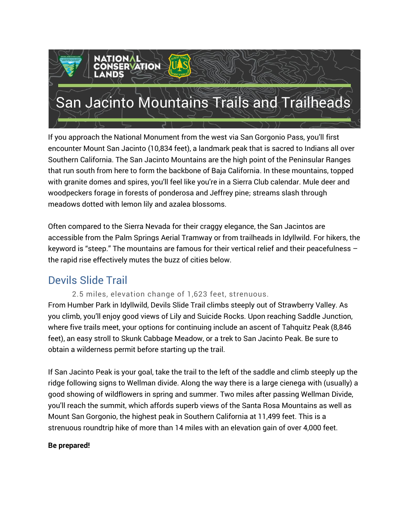

If you approach the National Monument from the west via San Gorgonio Pass, you'll first encounter Mount San Jacinto (10,834 feet), a landmark peak that is sacred to Indians all over Southern California. The San Jacinto Mountains are the high point of the Peninsular Ranges that run south from here to form the backbone of Baja California. In these mountains, topped with granite domes and spires, you'll feel like you're in a Sierra Club calendar. Mule deer and woodpeckers forage in forests of ponderosa and Jeffrey pine; streams slash through meadows dotted with lemon lily and azalea blossoms.

Often compared to the Sierra Nevada for their craggy elegance, the San Jacintos are accessible from the Palm Springs Aerial Tramway or from trailheads in Idyllwild. For hikers, the keyword is "steep." The mountains are famous for their vertical relief and their peacefulness – the rapid rise effectively mutes the buzz of cities below.

# Devils Slide Trail

#### 2.5 miles, elevation change of 1,623 feet, strenuous.

From Humber Park in Idyllwild, Devils Slide Trail climbs steeply out of Strawberry Valley. As you climb, you'll enjoy good views of Lily and Suicide Rocks. Upon reaching Saddle Junction, where five trails meet, your options for continuing include an ascent of Tahquitz Peak (8,846 feet), an easy stroll to Skunk Cabbage Meadow, or a trek to San Jacinto Peak. Be sure to obtain a wilderness permit before starting up the trail.

If San Jacinto Peak is your goal, take the trail to the left of the saddle and climb steeply up the ridge following signs to Wellman divide. Along the way there is a large cienega with (usually) a good showing of wildflowers in spring and summer. Two miles after passing Wellman Divide, you'll reach the summit, which affords superb views of the Santa Rosa Mountains as well as Mount San Gorgonio, the highest peak in Southern California at 11,499 feet. This is a strenuous roundtrip hike of more than 14 miles with an elevation gain of over 4,000 feet.

#### **Be prepared!**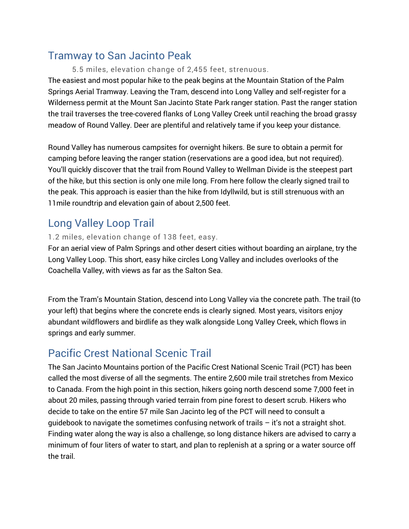# Tramway to San Jacinto Peak

#### 5.5 miles, elevation change of 2,455 feet, strenuous.

The easiest and most popular hike to the peak begins at the Mountain Station of the Palm Springs Aerial Tramway. Leaving the Tram, descend into Long Valley and self-register for a Wilderness permit at the Mount San Jacinto State Park ranger station. Past the ranger station the trail traverses the tree-covered flanks of Long Valley Creek until reaching the broad grassy meadow of Round Valley. Deer are plentiful and relatively tame if you keep your distance.

Round Valley has numerous campsites for overnight hikers. Be sure to obtain a permit for camping before leaving the ranger station (reservations are a good idea, but not required). You'll quickly discover that the trail from Round Valley to Wellman Divide is the steepest part of the hike, but this section is only one mile long. From here follow the clearly signed trail to the peak. This approach is easier than the hike from Idyllwild, but is still strenuous with an 11mile roundtrip and elevation gain of about 2,500 feet.

# Long Valley Loop Trail

#### 1.2 miles, elevation change of 138 feet, easy.

For an aerial view of Palm Springs and other desert cities without boarding an airplane, try the Long Valley Loop. This short, easy hike circles Long Valley and includes overlooks of the Coachella Valley, with views as far as the Salton Sea.

From the Tram's Mountain Station, descend into Long Valley via the concrete path. The trail (to your left) that begins where the concrete ends is clearly signed. Most years, visitors enjoy abundant wildflowers and birdlife as they walk alongside Long Valley Creek, which flows in springs and early summer.

### Pacific Crest National Scenic Trail

The San Jacinto Mountains portion of the Pacific Crest National Scenic Trail (PCT) has been called the most diverse of all the segments. The entire 2,600 mile trail stretches from Mexico to Canada. From the high point in this section, hikers going north descend some 7,000 feet in about 20 miles, passing through varied terrain from pine forest to desert scrub. Hikers who decide to take on the entire 57 mile San Jacinto leg of the PCT will need to consult a quidebook to navigate the sometimes confusing network of trails  $-$  it's not a straight shot. Finding water along the way is also a challenge, so long distance hikers are advised to carry a minimum of four liters of water to start, and plan to replenish at a spring or a water source off the trail.